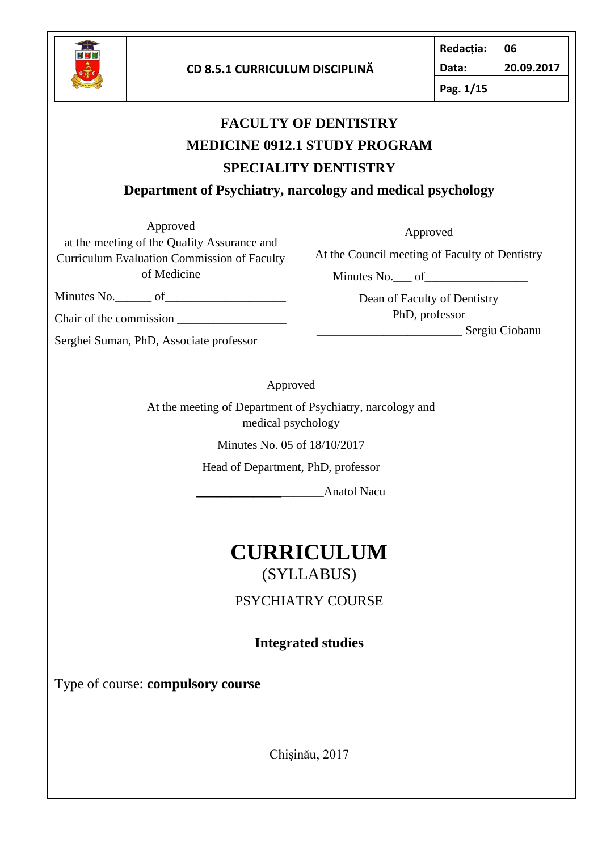

**Pag. 1/15**

# **FACULTY OF DENTISTRY MEDICINE 0912.1 STUDY PROGRAM SPECIALITY DENTISTRY**

**Department of Psychiatry, narcology and medical psychology**

Approved

Approved

at the meeting of the Quality Assurance and Curriculum Evaluation Commission of Faculty of Medicine

Minutes No.  $\qquad \qquad$  of

Chair of the commission \_\_\_\_\_\_\_\_\_\_\_\_\_\_\_\_\_\_

Serghei Suman, PhD, Associate professor

At the Council meeting of Faculty of Dentistry

Minutes No. \_\_\_ of

Dean of Faculty of Dentistry PhD, professor

\_\_\_\_\_\_\_\_\_\_\_\_\_\_\_\_\_\_\_\_\_\_\_\_ Sergiu Ciobanu

Approved

At the meeting of Department of Psychiatry, narcology and medical psychology

Minutes No. 05 of 18/10/2017

Head of Department, PhD, professor

**\_\_\_\_\_\_\_\_\_\_\_\_**\_\_\_\_\_\_\_Anatol Nacu

# **CURRICULUM**  (SYLLABUS)

PSYCHIATRY COURSE

**Integrated studies** 

Type of course: **compulsory course**

Chişinău, 2017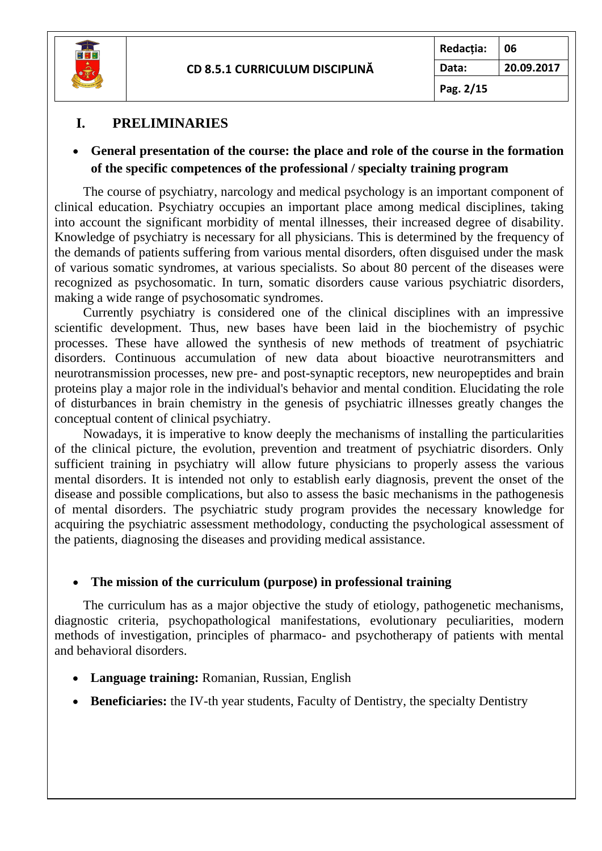

### **I. PRELIMINARIES**

#### • **General presentation of the course: the place and role of the course in the formation of the specific competences of the professional / specialty training program**

The course of psychiatry, narcology and medical psychology is an important component of clinical education. Psychiatry occupies an important place among medical disciplines, taking into account the significant morbidity of mental illnesses, their increased degree of disability. Knowledge of psychiatry is necessary for all physicians. This is determined by the frequency of the demands of patients suffering from various mental disorders, often disguised under the mask of various somatic syndromes, at various specialists. So about 80 percent of the diseases were recognized as psychosomatic. In turn, somatic disorders cause various psychiatric disorders, making a wide range of psychosomatic syndromes.

Currently psychiatry is considered one of the clinical disciplines with an impressive scientific development. Thus, new bases have been laid in the biochemistry of psychic processes. These have allowed the synthesis of new methods of treatment of psychiatric disorders. Continuous accumulation of new data about bioactive neurotransmitters and neurotransmission processes, new pre- and post-synaptic receptors, new neuropeptides and brain proteins play a major role in the individual's behavior and mental condition. Elucidating the role of disturbances in brain chemistry in the genesis of psychiatric illnesses greatly changes the conceptual content of clinical psychiatry.

Nowadays, it is imperative to know deeply the mechanisms of installing the particularities of the clinical picture, the evolution, prevention and treatment of psychiatric disorders. Only sufficient training in psychiatry will allow future physicians to properly assess the various mental disorders. It is intended not only to establish early diagnosis, prevent the onset of the disease and possible complications, but also to assess the basic mechanisms in the pathogenesis of mental disorders. The psychiatric study program provides the necessary knowledge for acquiring the psychiatric assessment methodology, conducting the psychological assessment of the patients, diagnosing the diseases and providing medical assistance.

#### • **The mission of the curriculum (purpose) in professional training**

The curriculum has as a major objective the study of etiology, pathogenetic mechanisms, diagnostic criteria, psychopathological manifestations, evolutionary peculiarities, modern methods of investigation, principles of pharmaco- and psychotherapy of patients with mental and behavioral disorders.

- **Language training:** Romanian, Russian, English
- **Beneficiaries:** the IV-th year students, Faculty of Dentistry, the specialty Dentistry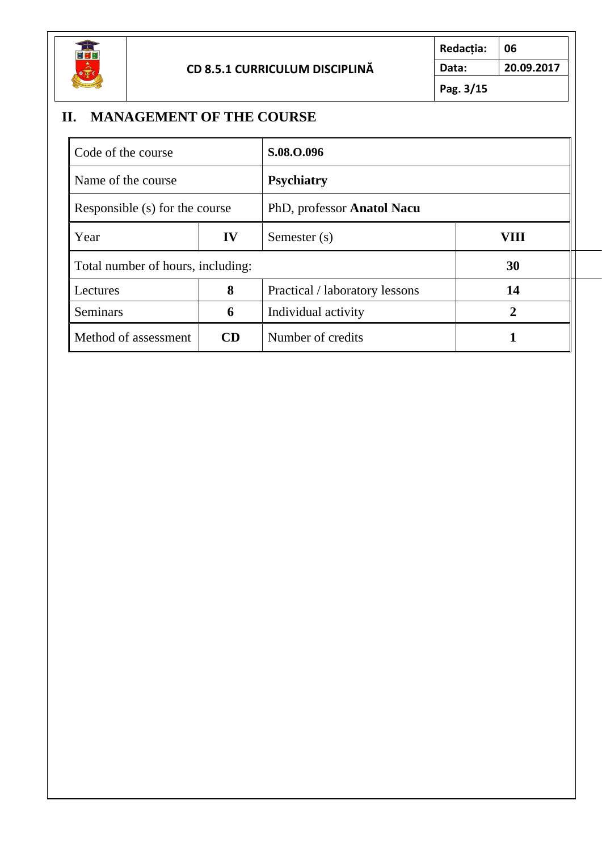

**Redacția: 06 Data: 20.09.2017 Pag. 3/15**

# **II. MANAGEMENT OF THE COURSE**

| Code of the course                |    | S.08.O.096                     |      |
|-----------------------------------|----|--------------------------------|------|
| Name of the course                |    | <b>Psychiatry</b>              |      |
| Responsible (s) for the course    |    | PhD, professor Anatol Nacu     |      |
| Year                              | IV | Semester (s)                   | VIII |
| Total number of hours, including: |    | 30                             |      |
| Lectures                          | 8  | Practical / laboratory lessons | 14   |
| <b>Seminars</b>                   | 6  | Individual activity            |      |
| Method of assessment              | CD | Number of credits              |      |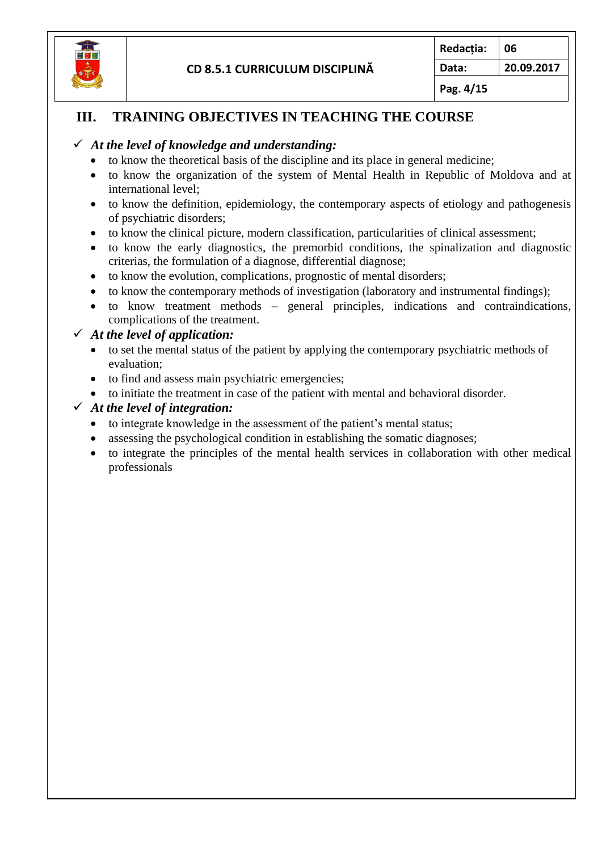

**Pag. 4/15**

### **III. TRAINING OBJECTIVES IN TEACHING THE COURSE**

#### ✓ *At the level of knowledge and understanding:*

- to know the theoretical basis of the discipline and its place in general medicine;
- to know the organization of the system of Mental Health in Republic of Moldova and at international level;
- to know the definition, epidemiology, the contemporary aspects of etiology and pathogenesis of psychiatric disorders;
- to know the clinical picture, modern classification, particularities of clinical assessment;
- to know the early diagnostics, the premorbid conditions, the spinalization and diagnostic criterias, the formulation of a diagnose, differential diagnose;
- to know the evolution, complications, prognostic of mental disorders;
- to know the contemporary methods of investigation (laboratory and instrumental findings);
- to know treatment methods general principles, indications and contraindications, complications of the treatment.

#### ✓ *At the level of application:*

- to set the mental status of the patient by applying the contemporary psychiatric methods of evaluation;
- to find and assess main psychiatric emergencies;
- to initiate the treatment in case of the patient with mental and behavioral disorder.

#### ✓ *At the level of integration:*

- to integrate knowledge in the assessment of the patient's mental status;
- assessing the psychological condition in establishing the somatic diagnoses:
- to integrate the principles of the mental health services in collaboration with other medical professionals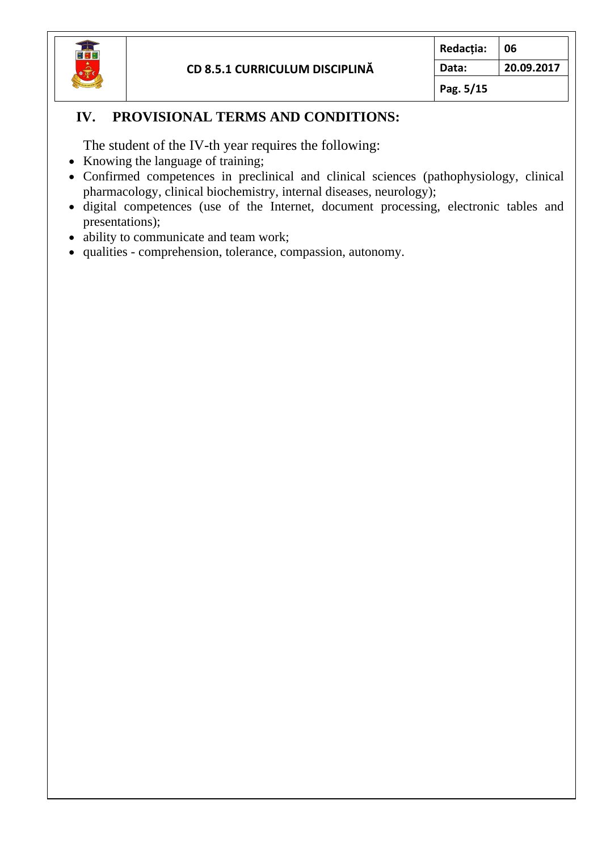

**Pag. 5/15**

### **IV. PROVISIONAL TERMS AND CONDITIONS:**

The student of the IV-th year requires the following:

- Knowing the language of training;
- Confirmed competences in preclinical and clinical sciences (pathophysiology, clinical pharmacology, clinical biochemistry, internal diseases, neurology);
- digital competences (use of the Internet, document processing, electronic tables and presentations);
- ability to communicate and team work;
- qualities comprehension, tolerance, compassion, autonomy.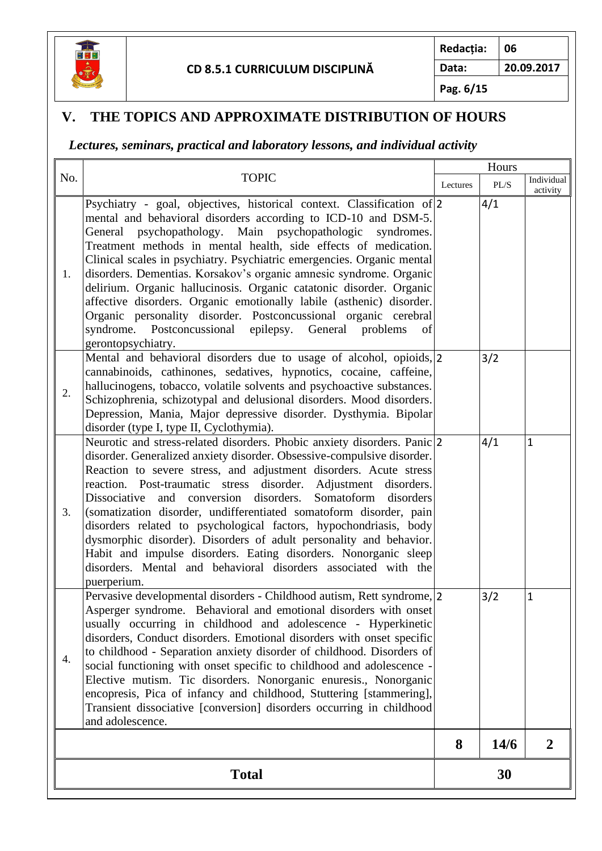

**Redacția: 06**

**Data: 20.09.2017**

**Pag. 6/15**

## **V. THE TOPICS AND APPROXIMATE DISTRIBUTION OF HOURS**

### *Lectures, seminars, practical and laboratory lessons, and individual activity*

|              |                                                                                                                                                                                                                                                                                                                                                                                                                                                                                                                                                                                                                                                                                                                                               | Hours |      |                        |
|--------------|-----------------------------------------------------------------------------------------------------------------------------------------------------------------------------------------------------------------------------------------------------------------------------------------------------------------------------------------------------------------------------------------------------------------------------------------------------------------------------------------------------------------------------------------------------------------------------------------------------------------------------------------------------------------------------------------------------------------------------------------------|-------|------|------------------------|
| No.          | <b>TOPIC</b>                                                                                                                                                                                                                                                                                                                                                                                                                                                                                                                                                                                                                                                                                                                                  |       | PL/S | Individual<br>activity |
| 1.           | Psychiatry - goal, objectives, historical context. Classification of 2<br>mental and behavioral disorders according to ICD-10 and DSM-5.<br>General psychopathology. Main psychopathologic syndromes.<br>Treatment methods in mental health, side effects of medication.<br>Clinical scales in psychiatry. Psychiatric emergencies. Organic mental<br>disorders. Dementias. Korsakov's organic amnesic syndrome. Organic<br>delirium. Organic hallucinosis. Organic catatonic disorder. Organic<br>affective disorders. Organic emotionally labile (asthenic) disorder.<br>Organic personality disorder. Postconcussional organic cerebral<br>syndrome. Postconcussional epilepsy.<br>General problems<br>of<br>gerontopsychiatry.            |       | 4/1  |                        |
| 2.           | Mental and behavioral disorders due to usage of alcohol, opioids, 2<br>cannabinoids, cathinones, sedatives, hypnotics, cocaine, caffeine,<br>hallucinogens, tobacco, volatile solvents and psychoactive substances.<br>Schizophrenia, schizotypal and delusional disorders. Mood disorders.<br>Depression, Mania, Major depressive disorder. Dysthymia. Bipolar<br>disorder (type I, type II, Cyclothymia).                                                                                                                                                                                                                                                                                                                                   |       | 3/2  |                        |
| 3.           | Neurotic and stress-related disorders. Phobic anxiety disorders. Panic 2<br>disorder. Generalized anxiety disorder. Obsessive-compulsive disorder.<br>Reaction to severe stress, and adjustment disorders. Acute stress<br>reaction. Post-traumatic stress disorder.<br>Adjustment<br>disorders.<br>and conversion disorders.<br>Somatoform<br>Dissociative<br>disorders<br>(somatization disorder, undifferentiated somatoform disorder, pain<br>disorders related to psychological factors, hypochondriasis, body<br>dysmorphic disorder). Disorders of adult personality and behavior.<br>Habit and impulse disorders. Eating disorders. Nonorganic sleep<br>disorders. Mental and behavioral disorders associated with the<br>puerperium. |       | 4/1  | $\mathbf{1}$           |
| 4.           | Pervasive developmental disorders - Childhood autism, Rett syndrome, 2<br>Asperger syndrome. Behavioral and emotional disorders with onset<br>usually occurring in childhood and adolescence - Hyperkinetic<br>disorders, Conduct disorders. Emotional disorders with onset specific<br>to childhood - Separation anxiety disorder of childhood. Disorders of<br>social functioning with onset specific to childhood and adolescence -<br>Elective mutism. Tic disorders. Nonorganic enuresis., Nonorganic<br>encopresis, Pica of infancy and childhood, Stuttering [stammering],<br>Transient dissociative [conversion] disorders occurring in childhood<br>and adolescence.                                                                 |       | 3/2  | $\mathbf 1$            |
|              |                                                                                                                                                                                                                                                                                                                                                                                                                                                                                                                                                                                                                                                                                                                                               | 8     | 14/6 | $\overline{2}$         |
| <b>Total</b> |                                                                                                                                                                                                                                                                                                                                                                                                                                                                                                                                                                                                                                                                                                                                               |       | 30   |                        |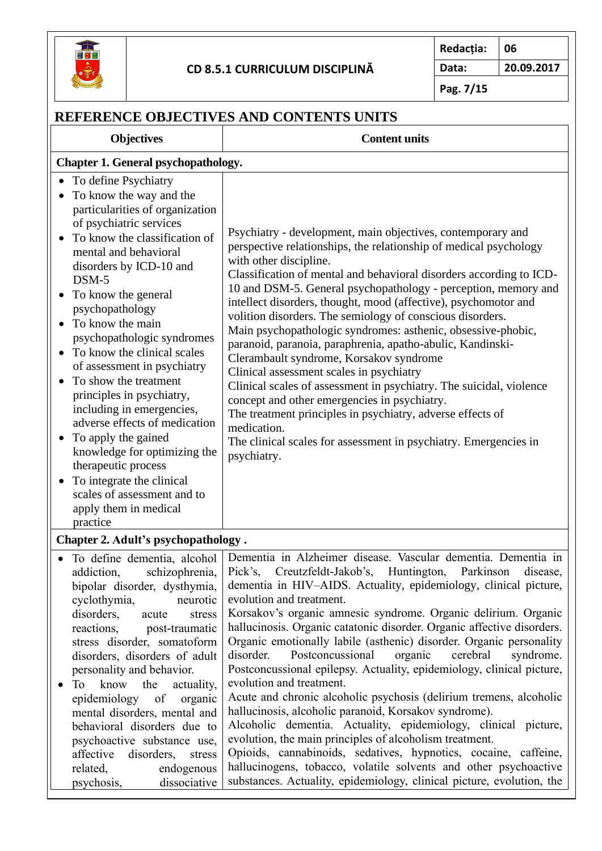

# **CD 8.5.1 CURRICULUM DISCIPLINĂ**

**Redacția: 06 Data: 20.09.2017**

**Pag. 7/15**

| REFERENCE OBJECTIVES AND CONTENTS UNITS                                                                                                                                                                                                                                                                                                                                                                                                                                                                                                                                                                                                                                  |                                                                                                                                                                                                                                                                                                                                                                                                                                                                                                                                                                                                                                                                                                                                                                                                                                                                                                                                                                                                                                                                                                                                          |  |  |
|--------------------------------------------------------------------------------------------------------------------------------------------------------------------------------------------------------------------------------------------------------------------------------------------------------------------------------------------------------------------------------------------------------------------------------------------------------------------------------------------------------------------------------------------------------------------------------------------------------------------------------------------------------------------------|------------------------------------------------------------------------------------------------------------------------------------------------------------------------------------------------------------------------------------------------------------------------------------------------------------------------------------------------------------------------------------------------------------------------------------------------------------------------------------------------------------------------------------------------------------------------------------------------------------------------------------------------------------------------------------------------------------------------------------------------------------------------------------------------------------------------------------------------------------------------------------------------------------------------------------------------------------------------------------------------------------------------------------------------------------------------------------------------------------------------------------------|--|--|
| <b>Objectives</b>                                                                                                                                                                                                                                                                                                                                                                                                                                                                                                                                                                                                                                                        | <b>Content units</b>                                                                                                                                                                                                                                                                                                                                                                                                                                                                                                                                                                                                                                                                                                                                                                                                                                                                                                                                                                                                                                                                                                                     |  |  |
| <b>Chapter 1. General psychopathology.</b>                                                                                                                                                                                                                                                                                                                                                                                                                                                                                                                                                                                                                               |                                                                                                                                                                                                                                                                                                                                                                                                                                                                                                                                                                                                                                                                                                                                                                                                                                                                                                                                                                                                                                                                                                                                          |  |  |
| To define Psychiatry<br>To know the way and the<br>particularities of organization<br>of psychiatric services<br>To know the classification of<br>mental and behavioral<br>disorders by ICD-10 and<br>DSM-5<br>To know the general<br>psychopathology<br>To know the main<br>psychopathologic syndromes<br>To know the clinical scales<br>of assessment in psychiatry<br>To show the treatment<br>principles in psychiatry,<br>including in emergencies,<br>adverse effects of medication<br>To apply the gained<br>knowledge for optimizing the<br>therapeutic process<br>To integrate the clinical<br>scales of assessment and to<br>apply them in medical<br>practice | Psychiatry - development, main objectives, contemporary and<br>perspective relationships, the relationship of medical psychology<br>with other discipline.<br>Classification of mental and behavioral disorders according to ICD-<br>10 and DSM-5. General psychopathology - perception, memory and<br>intellect disorders, thought, mood (affective), psychomotor and<br>volition disorders. The semiology of conscious disorders.<br>Main psychopathologic syndromes: asthenic, obsessive-phobic,<br>paranoid, paranoia, paraphrenia, apatho-abulic, Kandinski-<br>Clerambault syndrome, Korsakov syndrome<br>Clinical assessment scales in psychiatry<br>Clinical scales of assessment in psychiatry. The suicidal, violence<br>concept and other emergencies in psychiatry.<br>The treatment principles in psychiatry, adverse effects of<br>medication.<br>The clinical scales for assessment in psychiatry. Emergencies in<br>psychiatry.                                                                                                                                                                                          |  |  |
| Chapter 2. Adult's psychopathology.                                                                                                                                                                                                                                                                                                                                                                                                                                                                                                                                                                                                                                      |                                                                                                                                                                                                                                                                                                                                                                                                                                                                                                                                                                                                                                                                                                                                                                                                                                                                                                                                                                                                                                                                                                                                          |  |  |
| schizophrenia,<br>addiction,<br>bipolar disorder, dysthymia,<br>cyclothymia,<br>neurotic<br>disorders,<br>acute<br>$\rm stress$<br>reactions,<br>post-traumatic<br>stress disorder, somatoform<br>disorders, disorders of adult<br>personality and behavior.<br>know the<br>actuality,<br>To<br>$\bullet$<br>epidemiology of<br>organic<br>mental disorders, mental and<br>behavioral disorders due to<br>psychoactive substance use,<br>disorders,<br>affective<br>stress<br>related,<br>endogenous<br>psychosis,<br>dissociative                                                                                                                                       | · To define dementia, alcohol   Dementia in Alzheimer disease. Vascular dementia. Dementia in<br>Pick's, Creutzfeldt-Jakob's, Huntington, Parkinson<br>disease,<br>dementia in HIV-AIDS. Actuality, epidemiology, clinical picture,<br>evolution and treatment.<br>Korsakov's organic amnesic syndrome. Organic delirium. Organic<br>hallucinosis. Organic catatonic disorder. Organic affective disorders.<br>Organic emotionally labile (asthenic) disorder. Organic personality<br>Postconcussional<br>organic<br>cerebral<br>disorder.<br>syndrome.<br>Postconcussional epilepsy. Actuality, epidemiology, clinical picture,<br>evolution and treatment.<br>Acute and chronic alcoholic psychosis (delirium tremens, alcoholic<br>hallucinosis, alcoholic paranoid, Korsakov syndrome).<br>Alcoholic dementia. Actuality, epidemiology, clinical picture,<br>evolution, the main principles of alcoholism treatment.<br>Opioids, cannabinoids, sedatives, hypnotics, cocaine, caffeine,<br>hallucinogens, tobacco, volatile solvents and other psychoactive<br>substances. Actuality, epidemiology, clinical picture, evolution, the |  |  |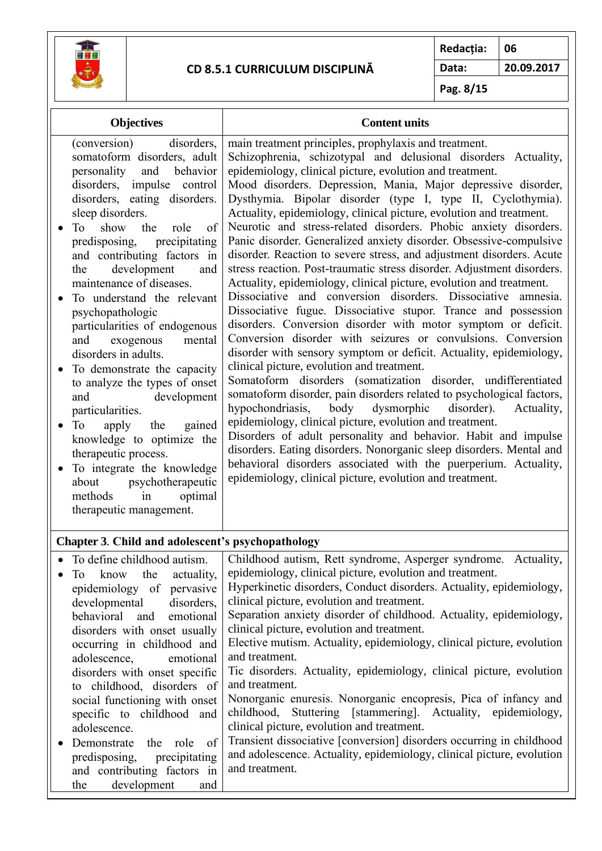

disorders with onset specific to childhood, disorders of social functioning with onset specific to childhood and

• Demonstrate the role of predisposing, precipitating and contributing factors in the development and

adolescence.

#### **CD 8.5.1 CURRICULUM DISCIPLINĂ**

**Redacția: 06 Data: 20.09.2017**

**Pag. 8/15**

| <b>Objectives</b>                                                                                                                                                                                                                                                                                                                                                                                                                                                                                                                                                                                                                                                                                                                                                                                               | <b>Content units</b>                                                                                                                                                                                                                                                                                                                                                                                                                                                                                                                                                                                                                                                                                                                                                                                                                                                                                                                                                                                                                                                                                                                                                                                                                                                                                                                                                                                                                                                                                                                                                                                                                                                                                  |  |  |
|-----------------------------------------------------------------------------------------------------------------------------------------------------------------------------------------------------------------------------------------------------------------------------------------------------------------------------------------------------------------------------------------------------------------------------------------------------------------------------------------------------------------------------------------------------------------------------------------------------------------------------------------------------------------------------------------------------------------------------------------------------------------------------------------------------------------|-------------------------------------------------------------------------------------------------------------------------------------------------------------------------------------------------------------------------------------------------------------------------------------------------------------------------------------------------------------------------------------------------------------------------------------------------------------------------------------------------------------------------------------------------------------------------------------------------------------------------------------------------------------------------------------------------------------------------------------------------------------------------------------------------------------------------------------------------------------------------------------------------------------------------------------------------------------------------------------------------------------------------------------------------------------------------------------------------------------------------------------------------------------------------------------------------------------------------------------------------------------------------------------------------------------------------------------------------------------------------------------------------------------------------------------------------------------------------------------------------------------------------------------------------------------------------------------------------------------------------------------------------------------------------------------------------------|--|--|
| (conversion)<br>disorders.<br>somatoform disorders, adult<br>and behavior<br>personality<br>disorders, impulse control<br>disorders, eating disorders.<br>sleep disorders.<br>show<br>the<br>To<br>role<br>of<br>precipitating<br>predisposing,<br>and contributing factors in<br>development<br>the<br>and<br>maintenance of diseases.<br>To understand the relevant<br>psychopathologic<br>particularities of endogenous<br>exogenous<br>and<br>mental<br>disorders in adults.<br>To demonstrate the capacity<br>to analyze the types of onset<br>development<br>and<br>particularities.<br>gained<br>To<br>apply<br>the<br>$\bullet$<br>knowledge to optimize the<br>therapeutic process.<br>To integrate the knowledge<br>psychotherapeutic<br>about<br>optimal<br>methods<br>in<br>therapeutic management. | main treatment principles, prophylaxis and treatment.<br>Schizophrenia, schizotypal and delusional disorders Actuality,<br>epidemiology, clinical picture, evolution and treatment.<br>Mood disorders. Depression, Mania, Major depressive disorder,<br>Dysthymia. Bipolar disorder (type I, type II, Cyclothymia).<br>Actuality, epidemiology, clinical picture, evolution and treatment.<br>Neurotic and stress-related disorders. Phobic anxiety disorders.<br>Panic disorder. Generalized anxiety disorder. Obsessive-compulsive<br>disorder. Reaction to severe stress, and adjustment disorders. Acute<br>stress reaction. Post-traumatic stress disorder. Adjustment disorders.<br>Actuality, epidemiology, clinical picture, evolution and treatment.<br>Dissociative and conversion disorders. Dissociative amnesia.<br>Dissociative fugue. Dissociative stupor. Trance and possession<br>disorders. Conversion disorder with motor symptom or deficit.<br>Conversion disorder with seizures or convulsions. Conversion<br>disorder with sensory symptom or deficit. Actuality, epidemiology,<br>clinical picture, evolution and treatment.<br>Somatoform disorders (somatization disorder, undifferentiated<br>somatoform disorder, pain disorders related to psychological factors,<br>body dysmorphic<br>hypochondriasis,<br>disorder).<br>Actuality,<br>epidemiology, clinical picture, evolution and treatment.<br>Disorders of adult personality and behavior. Habit and impulse<br>disorders. Eating disorders. Nonorganic sleep disorders. Mental and<br>behavioral disorders associated with the puerperium. Actuality,<br>epidemiology, clinical picture, evolution and treatment. |  |  |
| Chapter 3. Child and adolescent's psychopathology                                                                                                                                                                                                                                                                                                                                                                                                                                                                                                                                                                                                                                                                                                                                                               |                                                                                                                                                                                                                                                                                                                                                                                                                                                                                                                                                                                                                                                                                                                                                                                                                                                                                                                                                                                                                                                                                                                                                                                                                                                                                                                                                                                                                                                                                                                                                                                                                                                                                                       |  |  |
| To define childhood autism.<br>know<br>the<br>actuality,<br>To<br>epidemiology of pervasive<br>developmental<br>disorders,<br>behavioral<br>and<br>emotional<br>disorders with onset usually<br>occurring in childhood and<br>adolescence,<br>emotional                                                                                                                                                                                                                                                                                                                                                                                                                                                                                                                                                         | Childhood autism, Rett syndrome, Asperger syndrome. Actuality,<br>epidemiology, clinical picture, evolution and treatment.<br>Hyperkinetic disorders, Conduct disorders. Actuality, epidemiology,<br>clinical picture, evolution and treatment.<br>Separation anxiety disorder of childhood. Actuality, epidemiology,<br>clinical picture, evolution and treatment.<br>Elective mutism. Actuality, epidemiology, clinical picture, evolution<br>and treatment.                                                                                                                                                                                                                                                                                                                                                                                                                                                                                                                                                                                                                                                                                                                                                                                                                                                                                                                                                                                                                                                                                                                                                                                                                                        |  |  |

and treatment.

and treatment.

clinical picture, evolution and treatment.

Tic disorders. Actuality, epidemiology, clinical picture, evolution

Nonorganic enuresis. Nonorganic encopresis, Pica of infancy and childhood, Stuttering [stammering]. Actuality, epidemiology,

Transient dissociative [conversion] disorders occurring in childhood and adolescence. Actuality, epidemiology, clinical picture, evolution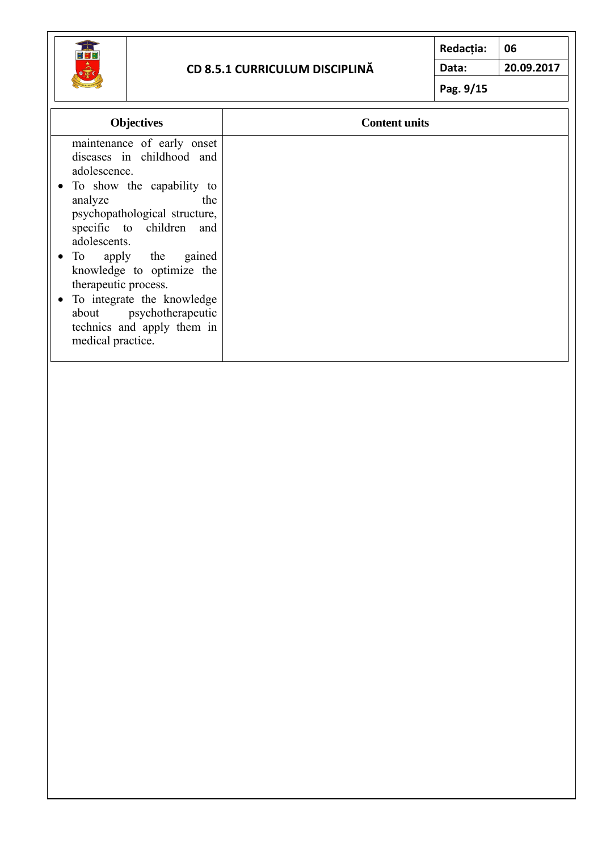

### **CD 8.5.1 CURRICULUM DISCIPLINĂ**

**Redacția: 06 Data: 20.09.2017**

| <b>Objectives</b>                                                                                                                                                                                                                                                                                                                                                                                 | <b>Content units</b> |
|---------------------------------------------------------------------------------------------------------------------------------------------------------------------------------------------------------------------------------------------------------------------------------------------------------------------------------------------------------------------------------------------------|----------------------|
| maintenance of early onset<br>diseases in childhood and<br>adolescence.<br>• To show the capability to<br>analyze<br>the<br>psychopathological structure,<br>specific to children and<br>adolescents.<br>• To apply the gained<br>knowledge to optimize the<br>therapeutic process.<br>• To integrate the knowledge<br>about psychotherapeutic<br>technics and apply them in<br>medical practice. |                      |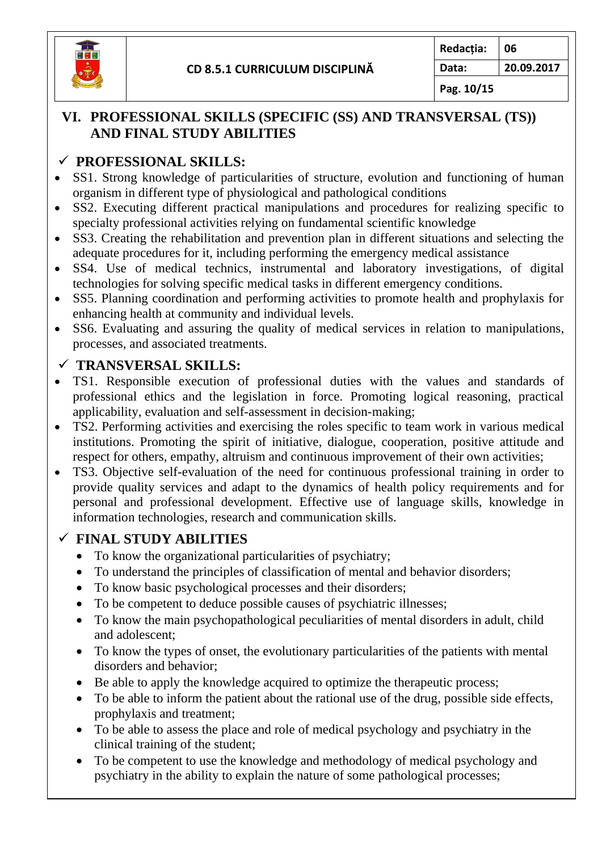

**Pag. 10/15**

### **VI. PROFESSIONAL SKILLS (SPECIFIC (SS) AND TRANSVERSAL (TS)) AND FINAL STUDY ABILITIES**

# ✓ **PROFESSIONAL SKILLS:**

- SS1. Strong knowledge of particularities of structure, evolution and functioning of human organism in different type of physiological and pathological conditions
- SS2. Executing different practical manipulations and procedures for realizing specific to specialty professional activities relying on fundamental scientific knowledge
- SS3. Creating the rehabilitation and prevention plan in different situations and selecting the adequate procedures for it, including performing the emergency medical assistance
- SS4. Use of medical technics, instrumental and laboratory investigations, of digital technologies for solving specific medical tasks in different emergency conditions.
- SS5. Planning coordination and performing activities to promote health and prophylaxis for enhancing health at community and individual levels.
- SS6. Evaluating and assuring the quality of medical services in relation to manipulations, processes, and associated treatments.

### ✓ **TRANSVERSAL SKILLS:**

- TS1. Responsible execution of professional duties with the values and standards of professional ethics and the legislation in force. Promoting logical reasoning, practical applicability, evaluation and self-assessment in decision-making;
- TS2. Performing activities and exercising the roles specific to team work in various medical institutions. Promoting the spirit of initiative, dialogue, cooperation, positive attitude and respect for others, empathy, altruism and continuous improvement of their own activities;
- TS3. Objective self-evaluation of the need for continuous professional training in order to provide quality services and adapt to the dynamics of health policy requirements and for personal and professional development. Effective use of language skills, knowledge in information technologies, research and communication skills.

# ✓ **FINAL STUDY ABILITIES**

- To know the organizational particularities of psychiatry;
- To understand the principles of classification of mental and behavior disorders;
- To know basic psychological processes and their disorders;
- To be competent to deduce possible causes of psychiatric illnesses;
- To know the main psychopathological peculiarities of mental disorders in adult, child and adolescent;
- To know the types of onset, the evolutionary particularities of the patients with mental disorders and behavior;
- Be able to apply the knowledge acquired to optimize the therapeutic process;
- To be able to inform the patient about the rational use of the drug, possible side effects, prophylaxis and treatment;
- To be able to assess the place and role of medical psychology and psychiatry in the clinical training of the student;
- To be competent to use the knowledge and methodology of medical psychology and psychiatry in the ability to explain the nature of some pathological processes;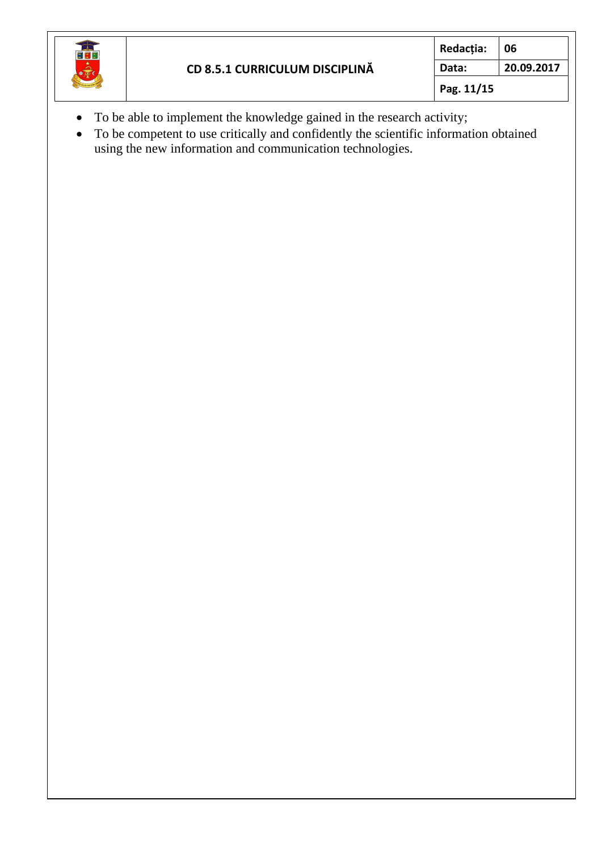

- To be able to implement the knowledge gained in the research activity;
- To be competent to use critically and confidently the scientific information obtained using the new information and communication technologies.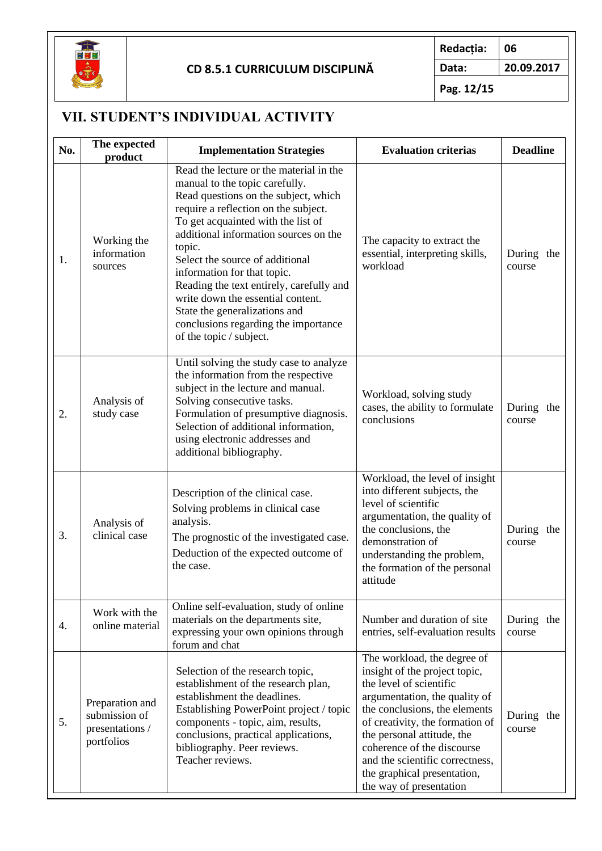

**Pag. 12/15**

# **VII. STUDENT'S INDIVIDUAL ACTIVITY**

| No. | The expected<br>product                                           | <b>Implementation Strategies</b>                                                                                                                                                                                                                                                                                                                                                                                                                                                                          | <b>Evaluation criterias</b>                                                                                                                                                                                                                                                                                                                           | <b>Deadline</b>      |  |
|-----|-------------------------------------------------------------------|-----------------------------------------------------------------------------------------------------------------------------------------------------------------------------------------------------------------------------------------------------------------------------------------------------------------------------------------------------------------------------------------------------------------------------------------------------------------------------------------------------------|-------------------------------------------------------------------------------------------------------------------------------------------------------------------------------------------------------------------------------------------------------------------------------------------------------------------------------------------------------|----------------------|--|
| 1.  | Working the<br>information<br>sources                             | Read the lecture or the material in the<br>manual to the topic carefully.<br>Read questions on the subject, which<br>require a reflection on the subject.<br>To get acquainted with the list of<br>additional information sources on the<br>topic.<br>Select the source of additional<br>information for that topic.<br>Reading the text entirely, carefully and<br>write down the essential content.<br>State the generalizations and<br>conclusions regarding the importance<br>of the topic / subject. | The capacity to extract the<br>essential, interpreting skills,<br>workload                                                                                                                                                                                                                                                                            | During the<br>course |  |
| 2.  | Analysis of<br>study case                                         | Until solving the study case to analyze<br>the information from the respective<br>subject in the lecture and manual.<br>Solving consecutive tasks.<br>Formulation of presumptive diagnosis.<br>Selection of additional information,<br>using electronic addresses and<br>additional bibliography.                                                                                                                                                                                                         | Workload, solving study<br>cases, the ability to formulate<br>conclusions                                                                                                                                                                                                                                                                             | During the<br>course |  |
| 3.  | Analysis of<br>clinical case                                      | Description of the clinical case.<br>Solving problems in clinical case<br>analysis.<br>The prognostic of the investigated case.<br>Deduction of the expected outcome of<br>the case.                                                                                                                                                                                                                                                                                                                      | Workload, the level of insight<br>into different subjects, the<br>level of scientific<br>argumentation, the quality of<br>the conclusions, the<br>demonstration of<br>understanding the problem,<br>the formation of the personal<br>attitude                                                                                                         | During the<br>course |  |
| 4.  | Work with the<br>online material                                  | Online self-evaluation, study of online<br>materials on the departments site,<br>expressing your own opinions through<br>forum and chat                                                                                                                                                                                                                                                                                                                                                                   | Number and duration of site<br>entries, self-evaluation results                                                                                                                                                                                                                                                                                       | During the<br>course |  |
| 5.  | Preparation and<br>submission of<br>presentations /<br>portfolios | Selection of the research topic,<br>establishment of the research plan,<br>establishment the deadlines.<br>Establishing PowerPoint project / topic<br>components - topic, aim, results,<br>conclusions, practical applications,<br>bibliography. Peer reviews.<br>Teacher reviews.                                                                                                                                                                                                                        | The workload, the degree of<br>insight of the project topic,<br>the level of scientific<br>argumentation, the quality of<br>the conclusions, the elements<br>of creativity, the formation of<br>the personal attitude, the<br>coherence of the discourse<br>and the scientific correctness,<br>the graphical presentation,<br>the way of presentation | During the<br>course |  |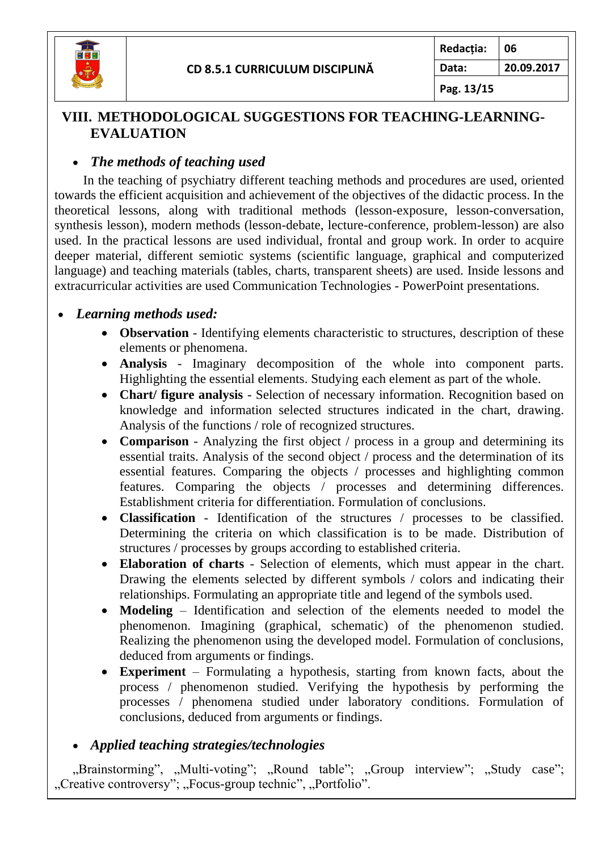

**Pag. 13/15**

### **VIII. METHODOLOGICAL SUGGESTIONS FOR TEACHING-LEARNING-EVALUATION**

### • *The methods of teaching used*

In the teaching of psychiatry different teaching methods and procedures are used, oriented towards the efficient acquisition and achievement of the objectives of the didactic process. In the theoretical lessons, along with traditional methods (lesson-exposure, lesson-conversation, synthesis lesson), modern methods (lesson-debate, lecture-conference, problem-lesson) are also used. In the practical lessons are used individual, frontal and group work. In order to acquire deeper material, different semiotic systems (scientific language, graphical and computerized language) and teaching materials (tables, charts, transparent sheets) are used. Inside lessons and extracurricular activities are used Communication Technologies - PowerPoint presentations.

### • *Learning methods used:*

- **Observation**  Identifying elements characteristic to structures, description of these elements or phenomena.
- **Analysis** Imaginary decomposition of the whole into component parts. Highlighting the essential elements. Studying each element as part of the whole.
- **Chart/ figure analysis** Selection of necessary information. Recognition based on knowledge and information selected structures indicated in the chart, drawing. Analysis of the functions / role of recognized structures.
- **Comparison** Analyzing the first object / process in a group and determining its essential traits. Analysis of the second object / process and the determination of its essential features. Comparing the objects / processes and highlighting common features. Comparing the objects / processes and determining differences. Establishment criteria for differentiation. Formulation of conclusions.
- **Classification** Identification of the structures / processes to be classified. Determining the criteria on which classification is to be made. Distribution of structures / processes by groups according to established criteria.
- **Elaboration of charts**  Selection of elements, which must appear in the chart. Drawing the elements selected by different symbols / colors and indicating their relationships. Formulating an appropriate title and legend of the symbols used.
- **Modeling** Identification and selection of the elements needed to model the phenomenon. Imagining (graphical, schematic) of the phenomenon studied. Realizing the phenomenon using the developed model. Formulation of conclusions, deduced from arguments or findings.
- **Experiment** Formulating a hypothesis, starting from known facts, about the process / phenomenon studied. Verifying the hypothesis by performing the processes / phenomena studied under laboratory conditions. Formulation of conclusions, deduced from arguments or findings.

# • *Applied teaching strategies/technologies*

"Brainstorming", "Multi-voting"; "Round table"; "Group interview"; "Study case"; "Creative controversy"; "Focus-group technic", "Portfolio".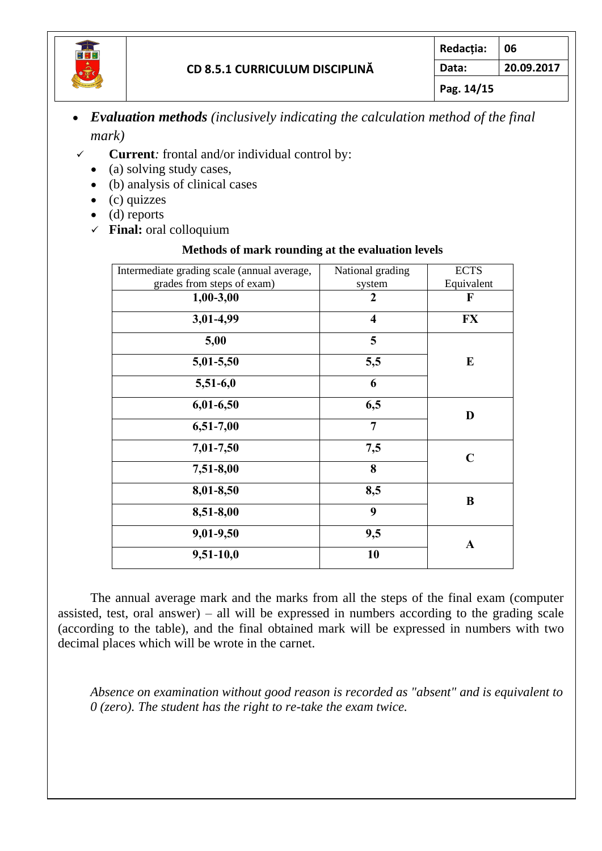

## • *Evaluation methods (inclusively indicating the calculation method of the final mark)*

- ✓ **Current***:* frontal and/or individual control by:
	- (a) solving study cases,
	- (b) analysis of clinical cases
	- $\bullet$  (c) quizzes
	- (d) reports
	- ✓ **Final:** oral colloquium

#### **Methods of mark rounding at the evaluation levels**

| Intermediate grading scale (annual average, | National grading        | <b>ECTS</b> |  |
|---------------------------------------------|-------------------------|-------------|--|
| grades from steps of exam)                  | system                  | Equivalent  |  |
| $1,00-3,00$                                 | $\boldsymbol{2}$        | F           |  |
| 3,01-4,99                                   | $\overline{\mathbf{4}}$ | <b>FX</b>   |  |
| 5,00                                        | 5                       |             |  |
| 5,01-5,50                                   | 5,5                     | E           |  |
| $5,51-6,0$                                  | 6                       |             |  |
| $6,01-6,50$                                 | 6,5                     | D           |  |
| 6,51-7,00                                   | $\overline{7}$          |             |  |
| 7,01-7,50                                   | 7,5                     | $\mathbf C$ |  |
| 7,51-8,00                                   | 8                       |             |  |
| 8,01-8,50                                   | 8,5                     | B           |  |
| 8,51-8,00                                   | 9                       |             |  |
| 9,01-9,50                                   | 9,5                     | $\mathbf A$ |  |
| $9,51-10,0$                                 | 10                      |             |  |
|                                             |                         |             |  |

The annual average mark and the marks from all the steps of the final exam (computer assisted, test, oral answer) – all will be expressed in numbers according to the grading scale (according to the table), and the final obtained mark will be expressed in numbers with two decimal places which will be wrote in the carnet.

*Absence on examination without good reason is recorded as "absent" and is equivalent to 0 (zero). The student has the right to re-take the exam twice.*